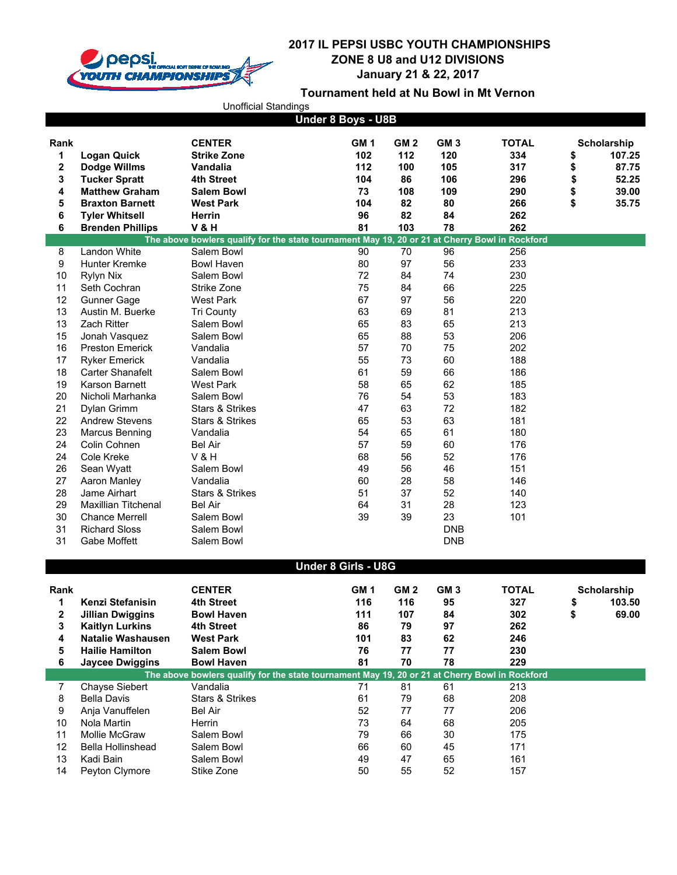

|                    |                                    | <b>Unofficial Standings</b>                                                                                  |                               |                               |                               |                            |          |                                       |  |
|--------------------|------------------------------------|--------------------------------------------------------------------------------------------------------------|-------------------------------|-------------------------------|-------------------------------|----------------------------|----------|---------------------------------------|--|
| Under 8 Boys - U8B |                                    |                                                                                                              |                               |                               |                               |                            |          |                                       |  |
| Rank<br>1<br>2     | <b>Logan Quick</b><br>Dodge Willms | <b>CENTER</b><br><b>Strike Zone</b><br>Vandalia                                                              | GM <sub>1</sub><br>102<br>112 | GM <sub>2</sub><br>112<br>100 | GM <sub>3</sub><br>120<br>105 | <b>TOTAL</b><br>334<br>317 | \$<br>\$ | <b>Scholarship</b><br>107.25<br>87.75 |  |
| 3                  | <b>Tucker Spratt</b>               | 4th Street                                                                                                   | 104                           | 86                            | 106                           | 296                        | \$       | 52.25                                 |  |
| 4                  | <b>Matthew Graham</b>              | Salem Bowl                                                                                                   | 73                            | 108                           | 109                           | 290                        | \$       | 39.00                                 |  |
| 5                  | <b>Braxton Barnett</b>             | <b>West Park</b>                                                                                             | 104                           | 82                            | 80                            | 266                        | \$       | 35.75                                 |  |
| 6                  | <b>Tyler Whitsell</b>              | Herrin                                                                                                       | 96                            | 82                            | 84                            | 262                        |          |                                       |  |
| 6                  | <b>Brenden Phillips</b>            | <b>V&amp;H</b>                                                                                               | 81                            | 103                           | 78                            | 262                        |          |                                       |  |
| 8                  | Landon White                       | The above bowlers qualify for the state tournament May 19, 20 or 21 at Cherry Bowl in Rockford<br>Salem Bowl | 90                            | 70                            | 96                            | 256                        |          |                                       |  |
| 9                  | <b>Hunter Kremke</b>               | <b>Bowl Haven</b>                                                                                            | 80                            | 97                            | 56                            | 233                        |          |                                       |  |
| 10                 | Rylyn Nix                          | Salem Bowl                                                                                                   | 72                            | 84                            | 74                            | 230                        |          |                                       |  |
| 11                 | Seth Cochran                       | Strike Zone                                                                                                  | 75                            | 84                            | 66                            | 225                        |          |                                       |  |
| 12                 | Gunner Gage                        | <b>West Park</b>                                                                                             | 67                            | 97                            | 56                            | 220                        |          |                                       |  |
| 13                 | Austin M. Buerke                   | <b>Tri County</b>                                                                                            | 63                            | 69                            | 81                            | 213                        |          |                                       |  |
| 13                 | Zach Ritter                        | Salem Bowl                                                                                                   | 65                            | 83                            | 65                            | 213                        |          |                                       |  |
| 15                 | Jonah Vasquez                      | Salem Bowl                                                                                                   | 65                            | 88                            | 53                            | 206                        |          |                                       |  |
| 16                 | <b>Preston Emerick</b>             | Vandalia                                                                                                     | 57                            | 70                            | 75                            | 202                        |          |                                       |  |
| 17                 | <b>Ryker Emerick</b>               | Vandalia                                                                                                     | 55                            | 73                            | 60                            | 188                        |          |                                       |  |
| 18                 | <b>Carter Shanafelt</b>            | Salem Bowl                                                                                                   | 61                            | 59                            | 66                            | 186                        |          |                                       |  |
| 19                 | Karson Barnett                     | <b>West Park</b>                                                                                             | 58                            | 65                            | 62                            | 185                        |          |                                       |  |
| 20                 | Nicholi Marhanka                   | Salem Bowl                                                                                                   | 76                            | 54                            | 53                            | 183                        |          |                                       |  |
| 21                 | Dylan Grimm                        | Stars & Strikes                                                                                              | 47                            | 63                            | 72                            | 182                        |          |                                       |  |
| 22                 | <b>Andrew Stevens</b>              | Stars & Strikes                                                                                              | 65                            | 53                            | 63                            | 181                        |          |                                       |  |
| 23                 | Marcus Benning                     | Vandalia                                                                                                     | 54                            | 65                            | 61                            | 180                        |          |                                       |  |
| 24                 | Colin Cohnen                       | <b>Bel Air</b>                                                                                               | 57                            | 59                            | 60                            | 176                        |          |                                       |  |
| 24                 | Cole Kreke                         | <b>V&amp;H</b>                                                                                               | 68                            | 56                            | 52                            | 176                        |          |                                       |  |
| 26                 | Sean Wyatt                         | Salem Bowl                                                                                                   | 49                            | 56                            | 46                            | 151                        |          |                                       |  |
| 27                 | Aaron Manley                       | Vandalia                                                                                                     | 60                            | 28                            | 58                            | 146                        |          |                                       |  |
| 28                 | Jame Airhart                       | Stars & Strikes                                                                                              | 51                            | 37                            | 52                            | 140                        |          |                                       |  |
| 29                 | <b>Maxillian Titchenal</b>         | <b>Bel Air</b>                                                                                               | 64                            | 31                            | 28                            | 123                        |          |                                       |  |
| 30                 | <b>Chance Merrell</b>              | Salem Bowl                                                                                                   | 39                            | 39                            | 23                            | 101                        |          |                                       |  |
| 31                 | <b>Richard Sloss</b>               | Salem Bowl                                                                                                   |                               |                               | <b>DNB</b>                    |                            |          |                                       |  |
| 31                 | Gabe Moffett                       | Salem Bowl                                                                                                   |                               |                               | <b>DNB</b>                    |                            |          |                                       |  |
|                    |                                    | Under 8 Girls - U8G                                                                                          |                               |                               |                               |                            |          |                                       |  |
|                    |                                    |                                                                                                              |                               |                               |                               |                            |          |                                       |  |
| Rank               |                                    | <b>CENTER</b>                                                                                                | GM <sub>1</sub>               | GM <sub>2</sub>               | GM <sub>3</sub>               | <b>TOTAL</b>               |          | <b>Scholarship</b>                    |  |
| 1                  | Kenzi Stefanisin                   | 4th Street                                                                                                   | 116                           | 116                           | 95                            | 327                        | \$       | 103.50                                |  |
| 2                  | <b>Jillian Dwiggins</b>            | <b>Bowl Haven</b>                                                                                            | 111                           | 107                           | 84                            | 302                        | \$       | 69.00                                 |  |
| 3                  | <b>Kaitlyn Lurkins</b>             | 4th Street                                                                                                   | 86                            | 79                            | 97                            | 262                        |          |                                       |  |
| 4                  | <b>Natalie Washausen</b>           | <b>West Park</b>                                                                                             | 101                           | 83                            | 62                            | 246                        |          |                                       |  |
| 5                  | <b>Hailie Hamilton</b>             | <b>Salem Bowl</b>                                                                                            | 76                            | 77                            | 77                            | 230                        |          |                                       |  |
| 6                  | <b>Jaycee Dwiggins</b>             | <b>Bowl Haven</b>                                                                                            | 81                            | 70                            | 78                            | 229                        |          |                                       |  |
|                    |                                    | The above bowlers qualify for the state tournament May 19, 20 or 21 at Cherry Bowl in Rockford               |                               |                               |                               |                            |          |                                       |  |
| $\overline{7}$     | Chayse Siebert                     | Vandalia                                                                                                     | 71                            | 81                            | 61                            | 213                        |          |                                       |  |
| 8<br>9             | <b>Bella Davis</b>                 | Stars & Strikes<br><b>Bel Air</b>                                                                            | 61<br>52                      | 79<br>77                      | 68                            | 208<br>206                 |          |                                       |  |
| 10                 | Anja Vanuffelen<br>Nola Martin     | Herrin                                                                                                       | 73                            | 64                            | 77<br>68                      | 205                        |          |                                       |  |
| 11                 | Mollie McGraw                      | Salem Bowl                                                                                                   | 79                            | 66                            | 30                            | 175                        |          |                                       |  |
| 12                 | <b>Bella Hollinshead</b>           | Salem Bowl                                                                                                   | 66                            | 60                            | 45                            | 171                        |          |                                       |  |
| 13                 | Kadi Bain                          | Salem Bowl                                                                                                   | 49                            | 47                            | 65                            | 161                        |          |                                       |  |
| 14                 | Peyton Clymore                     | Stike Zone                                                                                                   | 50                            | 55                            | 52                            | 157                        |          |                                       |  |
|                    |                                    |                                                                                                              |                               |                               |                               |                            |          |                                       |  |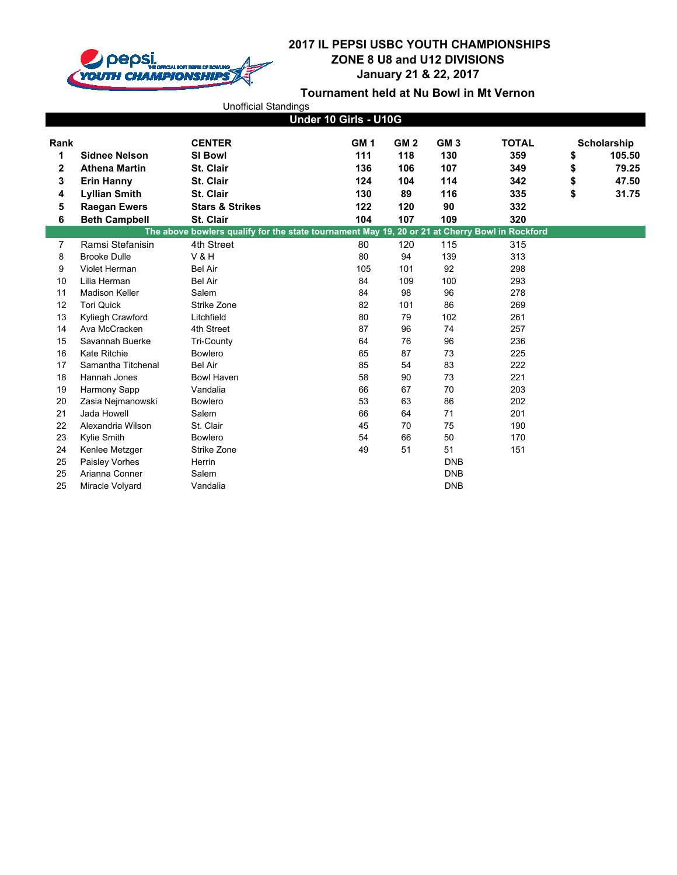

|      |                       | <b>Unofficial Standings</b>                                                                    |                       |                 |                 |              |                    |
|------|-----------------------|------------------------------------------------------------------------------------------------|-----------------------|-----------------|-----------------|--------------|--------------------|
|      |                       |                                                                                                | Under 10 Girls - U10G |                 |                 |              |                    |
| Rank |                       | <b>CENTER</b>                                                                                  | GM <sub>1</sub>       | GM <sub>2</sub> | GM <sub>3</sub> | <b>TOTAL</b> | <b>Scholarship</b> |
| 1    | <b>Sidnee Nelson</b>  | <b>SI Bowl</b>                                                                                 | 111                   | 118             | 130             | 359          | \$<br>105.50       |
| 2    | <b>Athena Martin</b>  | St. Clair                                                                                      | 136                   | 106             | 107             | 349          | \$<br>79.25        |
| 3    | <b>Erin Hanny</b>     | St. Clair                                                                                      | 124                   | 104             | 114             | 342          | \$<br>47.50        |
| 4    | <b>Lyllian Smith</b>  | St. Clair                                                                                      | 130                   | 89              | 116             | 335          | \$<br>31.75        |
| 5    | <b>Raegan Ewers</b>   | <b>Stars &amp; Strikes</b>                                                                     | 122                   | 120             | 90              | 332          |                    |
| 6    | <b>Beth Campbell</b>  | St. Clair                                                                                      | 104                   | 107             | 109             | 320          |                    |
|      |                       | The above bowlers qualify for the state tournament May 19, 20 or 21 at Cherry Bowl in Rockford |                       |                 |                 |              |                    |
| 7    | Ramsi Stefanisin      | 4th Street                                                                                     | 80                    | 120             | 115             | 315          |                    |
| 8    | <b>Brooke Dulle</b>   | <b>V&amp;H</b>                                                                                 | 80                    | 94              | 139             | 313          |                    |
| 9    | Violet Herman         | <b>Bel Air</b>                                                                                 | 105                   | 101             | 92              | 298          |                    |
| 10   | Lilia Herman          | <b>Bel Air</b>                                                                                 | 84                    | 109             | 100             | 293          |                    |
| 11   | <b>Madison Keller</b> | Salem                                                                                          | 84                    | 98              | 96              | 278          |                    |
| 12   | <b>Tori Quick</b>     | Strike Zone                                                                                    | 82                    | 101             | 86              | 269          |                    |
| 13   | Kyliegh Crawford      | Litchfield                                                                                     | 80                    | 79              | 102             | 261          |                    |
| 14   | Ava McCracken         | 4th Street                                                                                     | 87                    | 96              | 74              | 257          |                    |
| 15   | Savannah Buerke       | Tri-County                                                                                     | 64                    | 76              | 96              | 236          |                    |
| 16   | Kate Ritchie          | <b>Bowlero</b>                                                                                 | 65                    | 87              | 73              | 225          |                    |
| 17   | Samantha Titchenal    | <b>Bel Air</b>                                                                                 | 85                    | 54              | 83              | 222          |                    |
| 18   | Hannah Jones          | <b>Bowl Haven</b>                                                                              | 58                    | 90              | 73              | 221          |                    |
| 19   | Harmony Sapp          | Vandalia                                                                                       | 66                    | 67              | 70              | 203          |                    |
| 20   | Zasia Nejmanowski     | <b>Bowlero</b>                                                                                 | 53                    | 63              | 86              | 202          |                    |
| 21   | Jada Howell           | Salem                                                                                          | 66                    | 64              | 71              | 201          |                    |
| 22   | Alexandria Wilson     | St. Clair                                                                                      | 45                    | 70              | 75              | 190          |                    |
| 23   | Kylie Smith           | Bowlero                                                                                        | 54                    | 66              | 50              | 170          |                    |
| 24   | Kenlee Metzger        | Strike Zone                                                                                    | 49                    | 51              | 51              | 151          |                    |
| 25   | Paisley Vorhes        | Herrin                                                                                         |                       |                 | <b>DNB</b>      |              |                    |
| 25   | Arianna Conner        | Salem                                                                                          |                       |                 | <b>DNB</b>      |              |                    |
| 25   | Miracle Volyard       | Vandalia                                                                                       |                       |                 | <b>DNB</b>      |              |                    |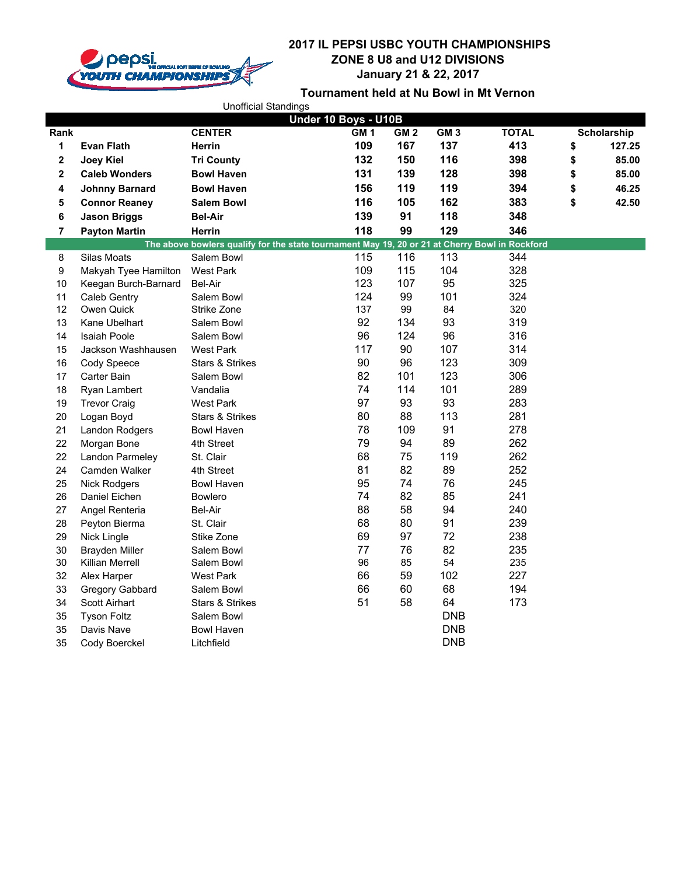

|                         |                       | <b>Unofficial Standings</b> |                                                                                                |                 |            |              |              |
|-------------------------|-----------------------|-----------------------------|------------------------------------------------------------------------------------------------|-----------------|------------|--------------|--------------|
|                         |                       |                             | Under 10 Boys - U10B                                                                           |                 |            |              |              |
| Rank                    |                       | <b>CENTER</b>               | GM1                                                                                            | GM <sub>2</sub> | GM3        | <b>TOTAL</b> | Scholarship  |
| 1                       | <b>Evan Flath</b>     | Herrin                      | 109                                                                                            | 167             | 137        | 413          | \$<br>127.25 |
| $\mathbf 2$             | Joey Kiel             | <b>Tri County</b>           | 132                                                                                            | 150             | 116        | 398          | \$<br>85.00  |
| $\overline{\mathbf{2}}$ | <b>Caleb Wonders</b>  | <b>Bowl Haven</b>           | 131                                                                                            | 139             | 128        | 398          | \$<br>85.00  |
| 4                       | <b>Johnny Barnard</b> | <b>Bowl Haven</b>           | 156                                                                                            | 119             | 119        | 394          | \$<br>46.25  |
| 5                       | <b>Connor Reaney</b>  | <b>Salem Bowl</b>           | 116                                                                                            | 105             | 162        | 383          | \$<br>42.50  |
| 6                       | <b>Jason Briggs</b>   | <b>Bel-Air</b>              | 139                                                                                            | 91              | 118        | 348          |              |
| $\overline{7}$          | <b>Payton Martin</b>  | Herrin                      | 118                                                                                            | 99              | 129        | 346          |              |
|                         |                       |                             | The above bowlers qualify for the state tournament May 19, 20 or 21 at Cherry Bowl in Rockford |                 |            |              |              |
| 8                       | Silas Moats           | Salem Bowl                  | 115                                                                                            | 116             | 113        | 344          |              |
| 9                       | Makyah Tyee Hamilton  | <b>West Park</b>            | 109                                                                                            | 115             | 104        | 328          |              |
| 10                      | Keegan Burch-Barnard  | <b>Bel-Air</b>              | 123                                                                                            | 107             | 95         | 325          |              |
| 11                      | Caleb Gentry          | Salem Bowl                  | 124                                                                                            | 99              | 101        | 324          |              |
| 12                      | Owen Quick            | Strike Zone                 | 137                                                                                            | 99              | 84         | 320          |              |
| 13                      | Kane Ubelhart         | Salem Bowl                  | 92                                                                                             | 134             | 93         | 319          |              |
| 14                      | <b>Isaiah Poole</b>   | Salem Bowl                  | 96                                                                                             | 124             | 96         | 316          |              |
| 15                      | Jackson Washhausen    | <b>West Park</b>            | 117                                                                                            | 90              | 107        | 314          |              |
| 16                      | Cody Speece           | Stars & Strikes             | 90                                                                                             | 96              | 123        | 309          |              |
| 17                      | Carter Bain           | Salem Bowl                  | 82                                                                                             | 101             | 123        | 306          |              |
| 18                      | Ryan Lambert          | Vandalia                    | 74                                                                                             | 114             | 101        | 289          |              |
| 19                      | <b>Trevor Craig</b>   | <b>West Park</b>            | 97                                                                                             | 93              | 93         | 283          |              |
| 20                      | Logan Boyd            | <b>Stars &amp; Strikes</b>  | 80                                                                                             | 88              | 113        | 281          |              |
| 21                      | Landon Rodgers        | <b>Bowl Haven</b>           | 78                                                                                             | 109             | 91         | 278          |              |
| 22                      | Morgan Bone           | 4th Street                  | 79                                                                                             | 94              | 89         | 262          |              |
| 22                      | Landon Parmeley       | St. Clair                   | 68                                                                                             | 75              | 119        | 262          |              |
| 24                      | Camden Walker         | 4th Street                  | 81                                                                                             | 82              | 89         | 252          |              |
| 25                      | <b>Nick Rodgers</b>   | <b>Bowl Haven</b>           | 95                                                                                             | 74              | 76         | 245          |              |
| 26                      | Daniel Eichen         | <b>Bowlero</b>              | 74                                                                                             | 82              | 85         | 241          |              |
| 27                      | Angel Renteria        | Bel-Air                     | 88                                                                                             | 58              | 94         | 240          |              |
| 28                      | Peyton Bierma         | St. Clair                   | 68                                                                                             | 80              | 91         | 239          |              |
| 29                      | Nick Lingle           | Stike Zone                  | 69                                                                                             | 97              | 72         | 238          |              |
| 30                      | <b>Brayden Miller</b> | Salem Bowl                  | 77                                                                                             | 76              | 82         | 235          |              |
| 30                      | Killian Merrell       | Salem Bowl                  | 96                                                                                             | 85              | 54         | 235          |              |
| 32                      | Alex Harper           | <b>West Park</b>            | 66                                                                                             | 59              | 102        | 227          |              |
| 33                      | Gregory Gabbard       | Salem Bowl                  | 66                                                                                             | 60              | 68         | 194          |              |
| 34                      | Scott Airhart         | <b>Stars &amp; Strikes</b>  | 51                                                                                             | 58              | 64         | 173          |              |
| 35                      | <b>Tyson Foltz</b>    | Salem Bowl                  |                                                                                                |                 | <b>DNB</b> |              |              |
| 35                      | Davis Nave            | <b>Bowl Haven</b>           |                                                                                                |                 | <b>DNB</b> |              |              |
| 35                      | Cody Boerckel         | Litchfield                  |                                                                                                |                 | <b>DNB</b> |              |              |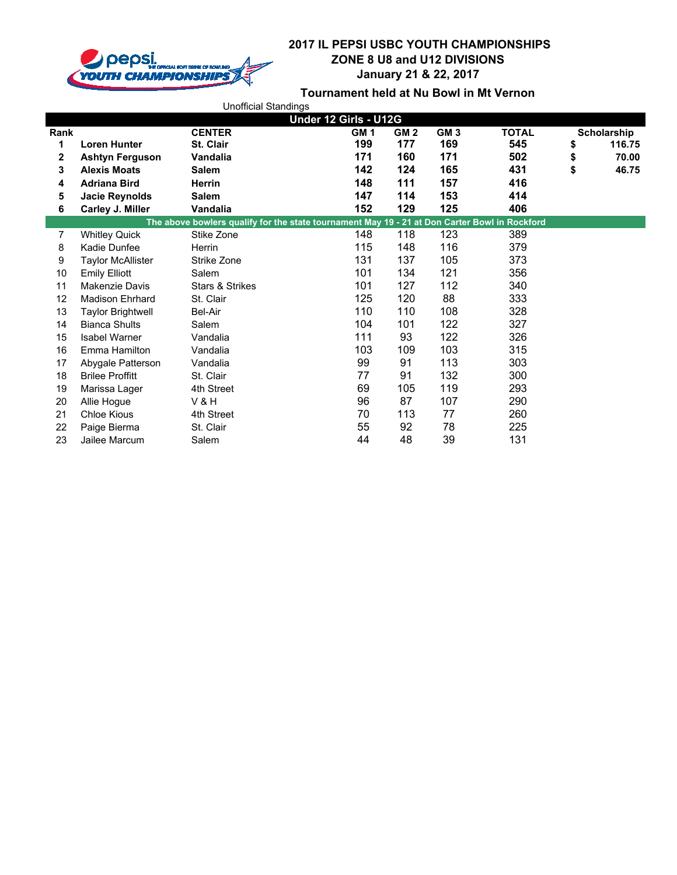

|                       |                          | <b>Unofficial Standings</b>                                                                   |                 |                 |                 |              |    |             |
|-----------------------|--------------------------|-----------------------------------------------------------------------------------------------|-----------------|-----------------|-----------------|--------------|----|-------------|
| Under 12 Girls - U12G |                          |                                                                                               |                 |                 |                 |              |    |             |
| Rank                  |                          | <b>CENTER</b>                                                                                 | GM <sub>1</sub> | GM <sub>2</sub> | GM <sub>3</sub> | <b>TOTAL</b> |    | Scholarship |
| 1                     | <b>Loren Hunter</b>      | <b>St. Clair</b>                                                                              | 199             | 177             | 169             | 545          | \$ | 116.75      |
| 2                     | <b>Ashtyn Ferguson</b>   | Vandalia                                                                                      | 171             | 160             | 171             | 502          | \$ | 70.00       |
| 3                     | <b>Alexis Moats</b>      | <b>Salem</b>                                                                                  | 142             | 124             | 165             | 431          | \$ | 46.75       |
| 4                     | <b>Adriana Bird</b>      | <b>Herrin</b>                                                                                 | 148             | 111             | 157             | 416          |    |             |
| 5                     | <b>Jacie Reynolds</b>    | <b>Salem</b>                                                                                  | 147             | 114             | 153             | 414          |    |             |
| 6                     | Carley J. Miller         | Vandalia                                                                                      | 152             | 129             | 125             | 406          |    |             |
|                       |                          | The above bowlers qualify for the state tournament May 19 - 21 at Don Carter Bowl in Rockford |                 |                 |                 |              |    |             |
| 7                     | <b>Whitley Quick</b>     | Stike Zone                                                                                    | 148             | 118             | 123             | 389          |    |             |
| 8                     | Kadie Dunfee             | Herrin                                                                                        | 115             | 148             | 116             | 379          |    |             |
| 9                     | <b>Taylor McAllister</b> | Strike Zone                                                                                   | 131             | 137             | 105             | 373          |    |             |
| 10                    | <b>Emily Elliott</b>     | Salem                                                                                         | 101             | 134             | 121             | 356          |    |             |
| 11                    | <b>Makenzie Davis</b>    | <b>Stars &amp; Strikes</b>                                                                    | 101             | 127             | 112             | 340          |    |             |
| 12                    | <b>Madison Ehrhard</b>   | St. Clair                                                                                     | 125             | 120             | 88              | 333          |    |             |
| 13                    | <b>Taylor Brightwell</b> | Bel-Air                                                                                       | 110             | 110             | 108             | 328          |    |             |
| 14                    | <b>Bianca Shults</b>     | Salem                                                                                         | 104             | 101             | 122             | 327          |    |             |
| 15                    | <b>Isabel Warner</b>     | Vandalia                                                                                      | 111             | 93              | 122             | 326          |    |             |
| 16                    | Emma Hamilton            | Vandalia                                                                                      | 103             | 109             | 103             | 315          |    |             |
| 17                    | Abygale Patterson        | Vandalia                                                                                      | 99              | 91              | 113             | 303          |    |             |
| 18                    | <b>Brilee Proffitt</b>   | St. Clair                                                                                     | 77              | 91              | 132             | 300          |    |             |
| 19                    | Marissa Lager            | 4th Street                                                                                    | 69              | 105             | 119             | 293          |    |             |
| 20                    | Allie Hogue              | <b>V&amp;H</b>                                                                                | 96              | 87              | 107             | 290          |    |             |
| 21                    | <b>Chloe Kious</b>       | 4th Street                                                                                    | 70              | 113             | 77              | 260          |    |             |
| 22                    | Paige Bierma             | St. Clair                                                                                     | 55              | 92              | 78              | 225          |    |             |
| 23                    | Jailee Marcum            | Salem                                                                                         | 44              | 48              | 39              | 131          |    |             |